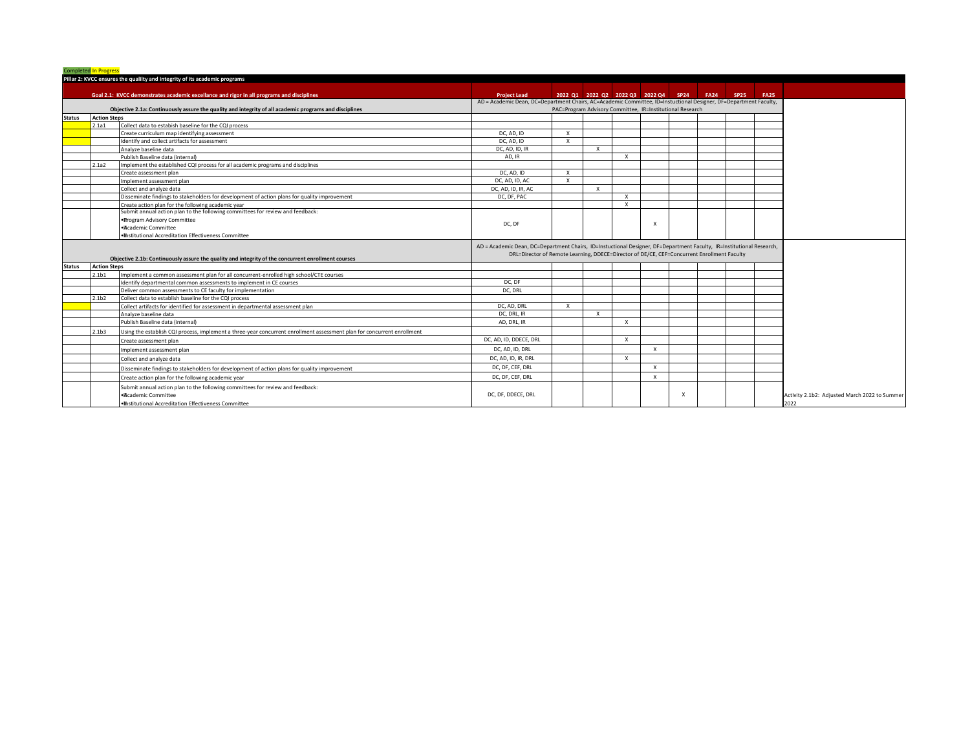|               | <b>Completed In Progress</b> |                                                                                                                         |                                                                                                                                          |                                                           |              |                           |                                                |                           |  |             |
|---------------|------------------------------|-------------------------------------------------------------------------------------------------------------------------|------------------------------------------------------------------------------------------------------------------------------------------|-----------------------------------------------------------|--------------|---------------------------|------------------------------------------------|---------------------------|--|-------------|
|               |                              | Pillar 2: KVCC ensures the qualilty and integrity of its academic programs                                              |                                                                                                                                          |                                                           |              |                           |                                                |                           |  |             |
|               |                              | Goal 2.1: KVCC demonstrates academic excellance and rigor in all programs and disciplines                               |                                                                                                                                          |                                                           |              |                           | 2022 Q1 2022 Q2 2022 Q3 2022 Q4 SP24 FA24 SP25 |                           |  | <b>FA25</b> |
|               |                              |                                                                                                                         | <b>Project Lead</b><br>AD = Academic Dean, DC=Department Chairs, AC=Academic Committee, ID=Instuctional Designer, DF=Department Faculty, |                                                           |              |                           |                                                |                           |  |             |
|               |                              | Objective 2.1a: Continuously assure the quality and integrity of all academic programs and disciplines                  |                                                                                                                                          | PAC=Program Advisory Committee, IR=Institutional Research |              |                           |                                                |                           |  |             |
| <b>Status</b> | <b>Action Steps</b>          |                                                                                                                         |                                                                                                                                          |                                                           |              |                           |                                                |                           |  |             |
|               | 2.1a1                        | Collect data to estabish baseline for the CQI process                                                                   |                                                                                                                                          |                                                           |              |                           |                                                |                           |  |             |
|               |                              | Create curriculum map identifying assessment                                                                            | DC, AD, ID                                                                                                                               | $\mathsf{x}$                                              |              |                           |                                                |                           |  |             |
|               |                              | Identify and collect artifacts for assessment                                                                           | DC, AD, ID                                                                                                                               | $\mathsf{x}$                                              |              |                           |                                                |                           |  |             |
|               |                              | Analyze baseline data                                                                                                   | DC, AD, ID, IR                                                                                                                           |                                                           | $\mathbf{x}$ |                           |                                                |                           |  |             |
|               |                              | Publish Baseline data (internal)                                                                                        | AD. IR                                                                                                                                   |                                                           |              | $\mathsf{x}$              |                                                |                           |  |             |
|               | 2.1a2                        | Implement the established CQI process for all academic programs and disciplines                                         |                                                                                                                                          |                                                           |              |                           |                                                |                           |  |             |
|               |                              | Create assessment plan                                                                                                  | DC, AD, ID                                                                                                                               | $\mathsf{x}$                                              |              |                           |                                                |                           |  |             |
|               |                              | Implement assessment plan                                                                                               | DC, AD, ID, AC                                                                                                                           | $\mathbf{x}$                                              |              |                           |                                                |                           |  |             |
|               |                              | Collect and analyze data                                                                                                | DC, AD, ID, IR, AC                                                                                                                       |                                                           | $\mathbf{x}$ |                           |                                                |                           |  |             |
|               |                              | Disseminate findings to stakeholders for development of action plans for quality improvement                            | DC, DF, PAC                                                                                                                              |                                                           |              | $\mathsf{x}$              |                                                |                           |  |             |
|               |                              | Create action plan for the following academic year                                                                      |                                                                                                                                          |                                                           |              | $\mathsf{x}$              |                                                |                           |  |             |
|               |                              | Submit annual action plan to the following committees for review and feedback:                                          |                                                                                                                                          |                                                           |              |                           |                                                |                           |  |             |
|               |                              | . Program Advisory Committee                                                                                            | DC, DF                                                                                                                                   |                                                           |              |                           | $\boldsymbol{\mathsf{x}}$                      |                           |  |             |
|               |                              | ·Academic Committee                                                                                                     |                                                                                                                                          |                                                           |              |                           |                                                |                           |  |             |
|               |                              | . Institutional Accreditation Effectiveness Committee                                                                   |                                                                                                                                          |                                                           |              |                           |                                                |                           |  |             |
|               |                              |                                                                                                                         | AD = Academic Dean, DC=Department Chairs, ID=Instuctional Designer, DF=Department Faculty, IR=Institutional Research,                    |                                                           |              |                           |                                                |                           |  |             |
|               |                              | Objective 2.1b: Continuously assure the quality and integrity of the concurrent enrollment courses                      | DRL=Director of Remote Learning, DDECE=Director of DE/CE, CEF=Concurrent Enrollment Faculty                                              |                                                           |              |                           |                                                |                           |  |             |
| <b>Status</b> | <b>Action Steps</b>          |                                                                                                                         |                                                                                                                                          |                                                           |              |                           |                                                |                           |  |             |
|               | 2.1 <sub>b1</sub>            | Implement a common assessment plan for all concurrent-enrolled high school/CTE courses                                  |                                                                                                                                          |                                                           |              |                           |                                                |                           |  |             |
|               |                              | Identify departmental common assessments to implement in CE courses                                                     | DC, DF                                                                                                                                   |                                                           |              |                           |                                                |                           |  |             |
|               |                              | Deliver common assessments to CE faculty for implementation                                                             | DC. DRL                                                                                                                                  |                                                           |              |                           |                                                |                           |  |             |
|               | 2.1 <sub>b2</sub>            | Collect data to establish baseline for the CQI process                                                                  |                                                                                                                                          |                                                           |              |                           |                                                |                           |  |             |
|               |                              | Collect artifacts for identified for assessment in departmental assessment plan                                         | DC, AD, DRL                                                                                                                              | $\mathsf{x}$                                              |              |                           |                                                |                           |  |             |
|               |                              | Analyze baseline data                                                                                                   | DC, DRL, IR                                                                                                                              |                                                           | $\mathbf{x}$ |                           |                                                |                           |  |             |
|               |                              | Publish Baseline data (internal)                                                                                        | AD, DRL, IR                                                                                                                              |                                                           |              | $\boldsymbol{\mathsf{x}}$ |                                                |                           |  |             |
|               | 2.1 <sub>b3</sub>            | Using the establish CQI process, implement a three-year concurrent enrollment assessment plan for concurrent enrollment |                                                                                                                                          |                                                           |              |                           |                                                |                           |  |             |
|               |                              | Create assessment plan                                                                                                  | DC, AD, ID, DDECE, DRL                                                                                                                   |                                                           |              | $\boldsymbol{\mathsf{x}}$ |                                                |                           |  |             |
|               |                              | Implement assessment plan                                                                                               | DC, AD, ID, DRL                                                                                                                          |                                                           |              |                           | $\mathsf{x}$                                   |                           |  |             |
|               |                              | Collect and analyze data                                                                                                | DC, AD, ID, IR, DRL                                                                                                                      |                                                           |              | $\boldsymbol{\mathsf{x}}$ |                                                |                           |  |             |
|               |                              | Disseminate findings to stakeholders for development of action plans for quality improvement                            | DC, DF, CEF, DRL                                                                                                                         |                                                           |              |                           | $\mathbf{x}$                                   |                           |  |             |
|               |                              | Create action plan for the following academic year                                                                      | DC, DF, CEF, DRL                                                                                                                         |                                                           |              |                           | $\mathbf{x}$                                   |                           |  |             |
|               |                              | Submit annual action plan to the following committees for review and feedback:                                          |                                                                                                                                          |                                                           |              |                           |                                                |                           |  |             |
|               |                              | ·Academic Committee                                                                                                     | DC, DF, DDECE, DRL                                                                                                                       |                                                           |              |                           |                                                | $\boldsymbol{\mathsf{x}}$ |  |             |
|               |                              | . Institutional Accreditation Effectiveness Committee                                                                   |                                                                                                                                          |                                                           |              |                           |                                                |                           |  |             |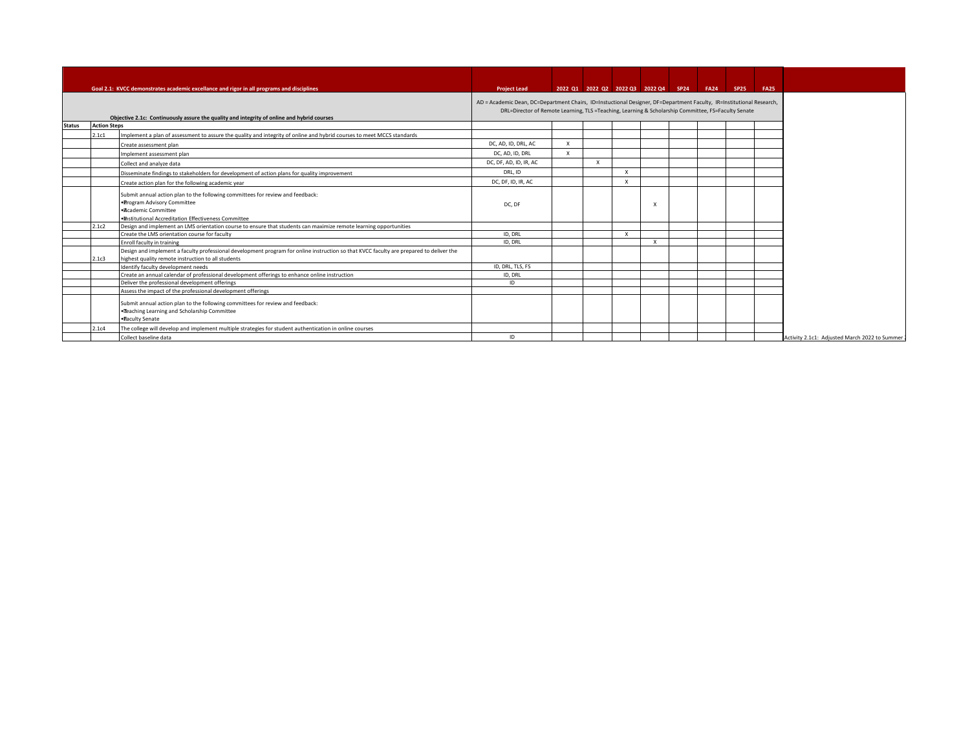|               |                     | Goal 2.1: KVCC demonstrates academic excellance and rigor in all programs and disciplines                                                                                                      | <b>Project Lead</b>                                                                                                                                                                                                          |              |                           |                           |              | 2022 Q1 2022 Q2 2022 Q3 2022 Q4 SP24 FA24 SP25 | <b>FA25</b> |
|---------------|---------------------|------------------------------------------------------------------------------------------------------------------------------------------------------------------------------------------------|------------------------------------------------------------------------------------------------------------------------------------------------------------------------------------------------------------------------------|--------------|---------------------------|---------------------------|--------------|------------------------------------------------|-------------|
|               |                     | Objective 2.1c: Continuously assure the quality and integrity of online and hybrid courses                                                                                                     | AD = Academic Dean, DC=Department Chairs, ID=Instuctional Designer, DF=Department Faculty, IR=Institutional Research,<br>DRL=Director of Remote Learning, TLS =Teaching, Learning & Scholarship Committee, FS=Faculty Senate |              |                           |                           |              |                                                |             |
| <b>Status</b> | <b>Action Steps</b> |                                                                                                                                                                                                |                                                                                                                                                                                                                              |              |                           |                           |              |                                                |             |
|               | 2.1c1               | Implement a plan of assessment to assure the quality and integrity of online and hybrid courses to meet MCCS standards                                                                         |                                                                                                                                                                                                                              |              |                           |                           |              |                                                |             |
|               |                     | Create assessment plan                                                                                                                                                                         | DC, AD, ID, DRL, AC                                                                                                                                                                                                          | $\mathsf{x}$ |                           |                           |              |                                                |             |
|               |                     | Implement assessment plan                                                                                                                                                                      | DC, AD, ID, DRL                                                                                                                                                                                                              | $\times$     |                           |                           |              |                                                |             |
|               |                     | Collect and analyze data                                                                                                                                                                       | DC, DF, AD, ID, IR, AC                                                                                                                                                                                                       |              | $\boldsymbol{\mathsf{x}}$ |                           |              |                                                |             |
|               |                     | Disseminate findings to stakeholders for development of action plans for quality improvement                                                                                                   | DRL, ID                                                                                                                                                                                                                      |              |                           | $\boldsymbol{\mathsf{x}}$ |              |                                                |             |
|               |                     | Create action plan for the following academic year                                                                                                                                             | DC, DF, ID, IR, AC                                                                                                                                                                                                           |              |                           | $\mathbf{x}$              |              |                                                |             |
|               |                     | Submit annual action plan to the following committees for review and feedback:<br>. Program Advisory Committee<br>·Academic Committee<br>· Institutional Accreditation Effectiveness Committee | DC, DF                                                                                                                                                                                                                       |              |                           |                           |              |                                                |             |
|               | 2.1c2               | Design and implement an LMS orientation course to ensure that students can maximize remote learning opportunities                                                                              |                                                                                                                                                                                                                              |              |                           |                           |              |                                                |             |
|               |                     | Create the LMS orientation course for faculty                                                                                                                                                  | ID, DRL                                                                                                                                                                                                                      |              |                           | $\mathsf{x}$              |              |                                                |             |
|               |                     | Enroll faculty in training                                                                                                                                                                     | ID, DRL                                                                                                                                                                                                                      |              |                           |                           | $\mathbf{x}$ |                                                |             |
|               | 2.1c3               | Design and implement a faculty professional development program for online instruction so that KVCC faculty are prepared to deliver the<br>highest quality remote instruction to all students  |                                                                                                                                                                                                                              |              |                           |                           |              |                                                |             |
|               |                     | Identify faculty development needs                                                                                                                                                             | ID, DRL, TLS, FS                                                                                                                                                                                                             |              |                           |                           |              |                                                |             |
|               |                     | Create an annual calendar of professional development offerings to enhance online instruction                                                                                                  | ID, DRL                                                                                                                                                                                                                      |              |                           |                           |              |                                                |             |
|               |                     | Deliver the professional development offerings                                                                                                                                                 | ID                                                                                                                                                                                                                           |              |                           |                           |              |                                                |             |
|               |                     | Assess the impact of the professional development offerings                                                                                                                                    |                                                                                                                                                                                                                              |              |                           |                           |              |                                                |             |
|               |                     | Submit annual action plan to the following committees for review and feedback:<br>. Teaching Learning and Scholarship Committee<br>. Faculty Senate                                            |                                                                                                                                                                                                                              |              |                           |                           |              |                                                |             |
|               | 2.1c4               | The college will develop and implement multiple strategies for student authentication in online courses                                                                                        |                                                                                                                                                                                                                              |              |                           |                           |              |                                                |             |
|               |                     | Collect baseline data                                                                                                                                                                          | ID                                                                                                                                                                                                                           |              |                           |                           |              |                                                |             |